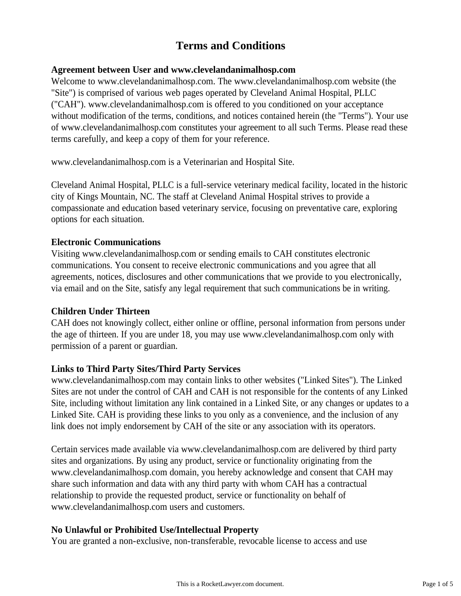# **Terms and Conditions**

#### **Agreement between User and www.clevelandanimalhosp.com**

Welcome to www.clevelandanimalhosp.com. The www.clevelandanimalhosp.com website (the "Site") is comprised of various web pages operated by Cleveland Animal Hospital, PLLC ("CAH"). www.clevelandanimalhosp.com is offered to you conditioned on your acceptance without modification of the terms, conditions, and notices contained herein (the "Terms"). Your use of www.clevelandanimalhosp.com constitutes your agreement to all such Terms. Please read these terms carefully, and keep a copy of them for your reference.

www.clevelandanimalhosp.com is a Veterinarian and Hospital Site.

Cleveland Animal Hospital, PLLC is a full-service veterinary medical facility, located in the historic city of Kings Mountain, NC. The staff at Cleveland Animal Hospital strives to provide a compassionate and education based veterinary service, focusing on preventative care, exploring options for each situation.

## **Electronic Communications**

Visiting www.clevelandanimalhosp.com or sending emails to CAH constitutes electronic communications. You consent to receive electronic communications and you agree that all agreements, notices, disclosures and other communications that we provide to you electronically, via email and on the Site, satisfy any legal requirement that such communications be in writing.

#### **Children Under Thirteen**

CAH does not knowingly collect, either online or offline, personal information from persons under the age of thirteen. If you are under 18, you may use www.clevelandanimalhosp.com only with permission of a parent or guardian.

# **Links to Third Party Sites/Third Party Services**

www.clevelandanimalhosp.com may contain links to other websites ("Linked Sites"). The Linked Sites are not under the control of CAH and CAH is not responsible for the contents of any Linked Site, including without limitation any link contained in a Linked Site, or any changes or updates to a Linked Site. CAH is providing these links to you only as a convenience, and the inclusion of any link does not imply endorsement by CAH of the site or any association with its operators.

Certain services made available via www.clevelandanimalhosp.com are delivered by third party sites and organizations. By using any product, service or functionality originating from the www.clevelandanimalhosp.com domain, you hereby acknowledge and consent that CAH may share such information and data with any third party with whom CAH has a contractual relationship to provide the requested product, service or functionality on behalf of www.clevelandanimalhosp.com users and customers.

# **No Unlawful or Prohibited Use/Intellectual Property**

You are granted a non-exclusive, non-transferable, revocable license to access and use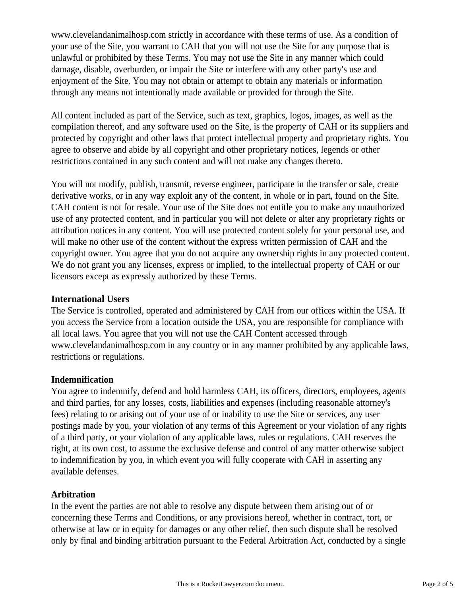www.clevelandanimalhosp.com strictly in accordance with these terms of use. As a condition of your use of the Site, you warrant to CAH that you will not use the Site for any purpose that is unlawful or prohibited by these Terms. You may not use the Site in any manner which could damage, disable, overburden, or impair the Site or interfere with any other party's use and enjoyment of the Site. You may not obtain or attempt to obtain any materials or information through any means not intentionally made available or provided for through the Site.

All content included as part of the Service, such as text, graphics, logos, images, as well as the compilation thereof, and any software used on the Site, is the property of CAH or its suppliers and protected by copyright and other laws that protect intellectual property and proprietary rights. You agree to observe and abide by all copyright and other proprietary notices, legends or other restrictions contained in any such content and will not make any changes thereto.

You will not modify, publish, transmit, reverse engineer, participate in the transfer or sale, create derivative works, or in any way exploit any of the content, in whole or in part, found on the Site. CAH content is not for resale. Your use of the Site does not entitle you to make any unauthorized use of any protected content, and in particular you will not delete or alter any proprietary rights or attribution notices in any content. You will use protected content solely for your personal use, and will make no other use of the content without the express written permission of CAH and the copyright owner. You agree that you do not acquire any ownership rights in any protected content. We do not grant you any licenses, express or implied, to the intellectual property of CAH or our licensors except as expressly authorized by these Terms.

#### **International Users**

The Service is controlled, operated and administered by CAH from our offices within the USA. If you access the Service from a location outside the USA, you are responsible for compliance with all local laws. You agree that you will not use the CAH Content accessed through www.clevelandanimalhosp.com in any country or in any manner prohibited by any applicable laws, restrictions or regulations.

# **Indemnification**

You agree to indemnify, defend and hold harmless CAH, its officers, directors, employees, agents and third parties, for any losses, costs, liabilities and expenses (including reasonable attorney's fees) relating to or arising out of your use of or inability to use the Site or services, any user postings made by you, your violation of any terms of this Agreement or your violation of any rights of a third party, or your violation of any applicable laws, rules or regulations. CAH reserves the right, at its own cost, to assume the exclusive defense and control of any matter otherwise subject to indemnification by you, in which event you will fully cooperate with CAH in asserting any available defenses.

# **Arbitration**

In the event the parties are not able to resolve any dispute between them arising out of or concerning these Terms and Conditions, or any provisions hereof, whether in contract, tort, or otherwise at law or in equity for damages or any other relief, then such dispute shall be resolved only by final and binding arbitration pursuant to the Federal Arbitration Act, conducted by a single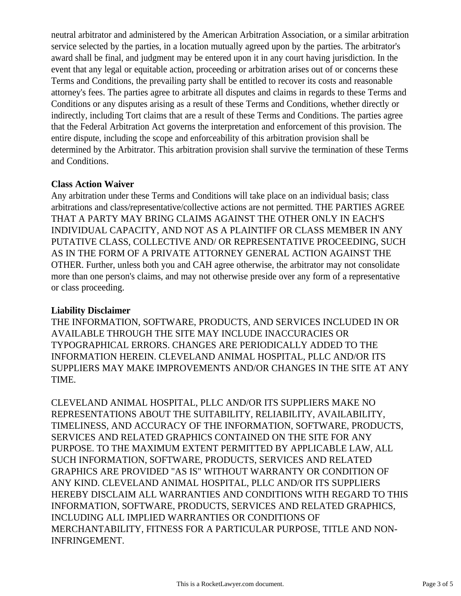neutral arbitrator and administered by the American Arbitration Association, or a similar arbitration service selected by the parties, in a location mutually agreed upon by the parties. The arbitrator's award shall be final, and judgment may be entered upon it in any court having jurisdiction. In the event that any legal or equitable action, proceeding or arbitration arises out of or concerns these Terms and Conditions, the prevailing party shall be entitled to recover its costs and reasonable attorney's fees. The parties agree to arbitrate all disputes and claims in regards to these Terms and Conditions or any disputes arising as a result of these Terms and Conditions, whether directly or indirectly, including Tort claims that are a result of these Terms and Conditions. The parties agree that the Federal Arbitration Act governs the interpretation and enforcement of this provision. The entire dispute, including the scope and enforceability of this arbitration provision shall be determined by the Arbitrator. This arbitration provision shall survive the termination of these Terms and Conditions.

## **Class Action Waiver**

Any arbitration under these Terms and Conditions will take place on an individual basis; class arbitrations and class/representative/collective actions are not permitted. THE PARTIES AGREE THAT A PARTY MAY BRING CLAIMS AGAINST THE OTHER ONLY IN EACH'S INDIVIDUAL CAPACITY, AND NOT AS A PLAINTIFF OR CLASS MEMBER IN ANY PUTATIVE CLASS, COLLECTIVE AND/ OR REPRESENTATIVE PROCEEDING, SUCH AS IN THE FORM OF A PRIVATE ATTORNEY GENERAL ACTION AGAINST THE OTHER. Further, unless both you and CAH agree otherwise, the arbitrator may not consolidate more than one person's claims, and may not otherwise preside over any form of a representative or class proceeding.

#### **Liability Disclaimer**

THE INFORMATION, SOFTWARE, PRODUCTS, AND SERVICES INCLUDED IN OR AVAILABLE THROUGH THE SITE MAY INCLUDE INACCURACIES OR TYPOGRAPHICAL ERRORS. CHANGES ARE PERIODICALLY ADDED TO THE INFORMATION HEREIN. CLEVELAND ANIMAL HOSPITAL, PLLC AND/OR ITS SUPPLIERS MAY MAKE IMPROVEMENTS AND/OR CHANGES IN THE SITE AT ANY TIME.

CLEVELAND ANIMAL HOSPITAL, PLLC AND/OR ITS SUPPLIERS MAKE NO REPRESENTATIONS ABOUT THE SUITABILITY, RELIABILITY, AVAILABILITY, TIMELINESS, AND ACCURACY OF THE INFORMATION, SOFTWARE, PRODUCTS, SERVICES AND RELATED GRAPHICS CONTAINED ON THE SITE FOR ANY PURPOSE. TO THE MAXIMUM EXTENT PERMITTED BY APPLICABLE LAW, ALL SUCH INFORMATION, SOFTWARE, PRODUCTS, SERVICES AND RELATED GRAPHICS ARE PROVIDED "AS IS" WITHOUT WARRANTY OR CONDITION OF ANY KIND. CLEVELAND ANIMAL HOSPITAL, PLLC AND/OR ITS SUPPLIERS HEREBY DISCLAIM ALL WARRANTIES AND CONDITIONS WITH REGARD TO THIS INFORMATION, SOFTWARE, PRODUCTS, SERVICES AND RELATED GRAPHICS, INCLUDING ALL IMPLIED WARRANTIES OR CONDITIONS OF MERCHANTABILITY, FITNESS FOR A PARTICULAR PURPOSE, TITLE AND NON-INFRINGEMENT.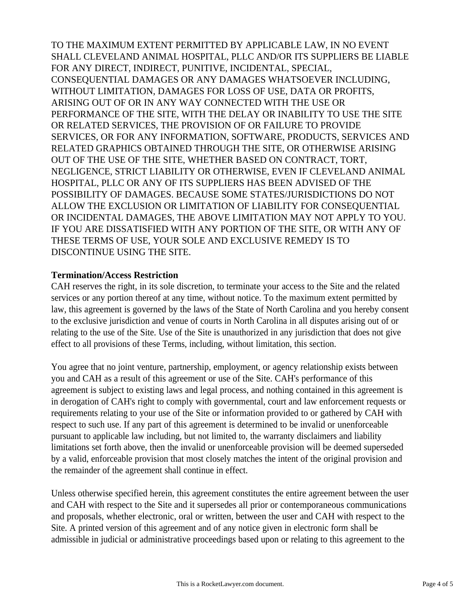TO THE MAXIMUM EXTENT PERMITTED BY APPLICABLE LAW, IN NO EVENT SHALL CLEVELAND ANIMAL HOSPITAL, PLLC AND/OR ITS SUPPLIERS BE LIABLE FOR ANY DIRECT, INDIRECT, PUNITIVE, INCIDENTAL, SPECIAL, CONSEQUENTIAL DAMAGES OR ANY DAMAGES WHATSOEVER INCLUDING, WITHOUT LIMITATION, DAMAGES FOR LOSS OF USE, DATA OR PROFITS, ARISING OUT OF OR IN ANY WAY CONNECTED WITH THE USE OR PERFORMANCE OF THE SITE, WITH THE DELAY OR INABILITY TO USE THE SITE OR RELATED SERVICES, THE PROVISION OF OR FAILURE TO PROVIDE SERVICES, OR FOR ANY INFORMATION, SOFTWARE, PRODUCTS, SERVICES AND RELATED GRAPHICS OBTAINED THROUGH THE SITE, OR OTHERWISE ARISING OUT OF THE USE OF THE SITE, WHETHER BASED ON CONTRACT, TORT, NEGLIGENCE, STRICT LIABILITY OR OTHERWISE, EVEN IF CLEVELAND ANIMAL HOSPITAL, PLLC OR ANY OF ITS SUPPLIERS HAS BEEN ADVISED OF THE POSSIBILITY OF DAMAGES. BECAUSE SOME STATES/JURISDICTIONS DO NOT ALLOW THE EXCLUSION OR LIMITATION OF LIABILITY FOR CONSEQUENTIAL OR INCIDENTAL DAMAGES, THE ABOVE LIMITATION MAY NOT APPLY TO YOU. IF YOU ARE DISSATISFIED WITH ANY PORTION OF THE SITE, OR WITH ANY OF THESE TERMS OF USE, YOUR SOLE AND EXCLUSIVE REMEDY IS TO DISCONTINUE USING THE SITE.

#### **Termination/Access Restriction**

CAH reserves the right, in its sole discretion, to terminate your access to the Site and the related services or any portion thereof at any time, without notice. To the maximum extent permitted by law, this agreement is governed by the laws of the State of North Carolina and you hereby consent to the exclusive jurisdiction and venue of courts in North Carolina in all disputes arising out of or relating to the use of the Site. Use of the Site is unauthorized in any jurisdiction that does not give effect to all provisions of these Terms, including, without limitation, this section.

You agree that no joint venture, partnership, employment, or agency relationship exists between you and CAH as a result of this agreement or use of the Site. CAH's performance of this agreement is subject to existing laws and legal process, and nothing contained in this agreement is in derogation of CAH's right to comply with governmental, court and law enforcement requests or requirements relating to your use of the Site or information provided to or gathered by CAH with respect to such use. If any part of this agreement is determined to be invalid or unenforceable pursuant to applicable law including, but not limited to, the warranty disclaimers and liability limitations set forth above, then the invalid or unenforceable provision will be deemed superseded by a valid, enforceable provision that most closely matches the intent of the original provision and the remainder of the agreement shall continue in effect.

Unless otherwise specified herein, this agreement constitutes the entire agreement between the user and CAH with respect to the Site and it supersedes all prior or contemporaneous communications and proposals, whether electronic, oral or written, between the user and CAH with respect to the Site. A printed version of this agreement and of any notice given in electronic form shall be admissible in judicial or administrative proceedings based upon or relating to this agreement to the